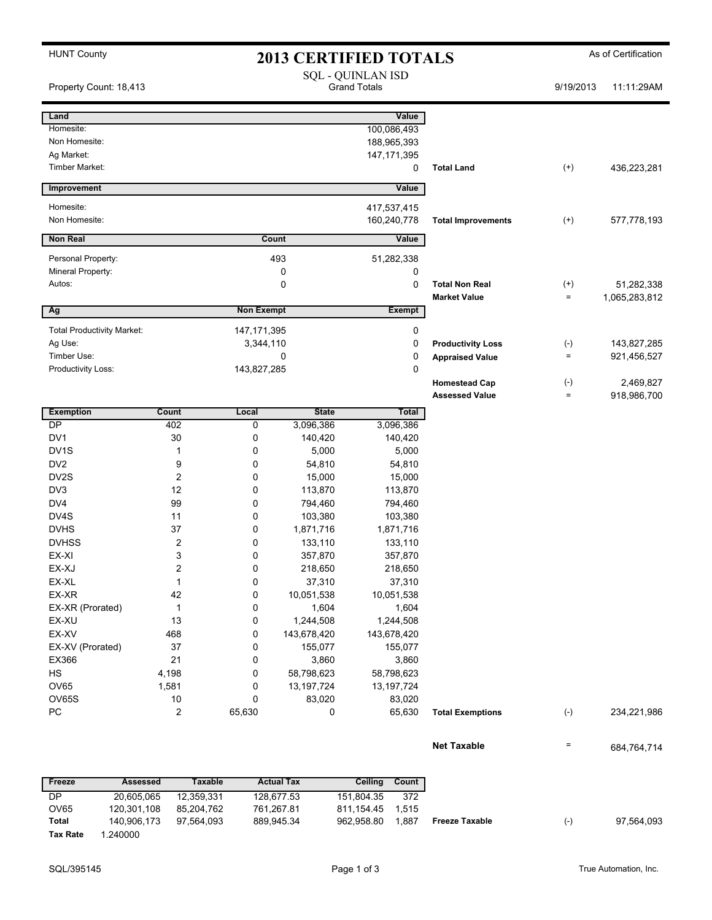|  | <b>HUNT County</b> |
|--|--------------------|
|--|--------------------|

# **2013 CERTIFIED TOTALS** As of Certification

| Property Count: 18,413            |                         |                   |                  | <b>SQL - QUINLAN ISD</b><br><b>Grand Totals</b> |                           | 9/19/2013    | 11:11:29AM    |
|-----------------------------------|-------------------------|-------------------|------------------|-------------------------------------------------|---------------------------|--------------|---------------|
| Land                              |                         |                   |                  | Value                                           |                           |              |               |
| Homesite:                         |                         |                   |                  | 100,086,493                                     |                           |              |               |
| Non Homesite:                     |                         |                   |                  | 188,965,393                                     |                           |              |               |
| Ag Market:                        |                         |                   |                  | 147, 171, 395                                   |                           |              |               |
| Timber Market:                    |                         |                   |                  | 0                                               | <b>Total Land</b>         | $^{(+)}$     | 436,223,281   |
| Improvement                       |                         |                   |                  | Value                                           |                           |              |               |
| Homesite:                         |                         |                   |                  | 417,537,415                                     |                           |              |               |
| Non Homesite:                     |                         |                   |                  | 160,240,778                                     | <b>Total Improvements</b> | $^{(+)}$     | 577,778,193   |
| <b>Non Real</b>                   |                         |                   | Count            | Value                                           |                           |              |               |
| Personal Property:                |                         |                   | 493              | 51,282,338                                      |                           |              |               |
| Mineral Property:                 |                         |                   | 0                | 0                                               |                           |              |               |
| Autos:                            |                         |                   | 0                | 0                                               | <b>Total Non Real</b>     | $^{(+)}$     | 51,282,338    |
|                                   |                         |                   |                  |                                                 | <b>Market Value</b>       | $=$          | 1,065,283,812 |
| Ag                                |                         | <b>Non Exempt</b> |                  | <b>Exempt</b>                                   |                           |              |               |
| <b>Total Productivity Market:</b> |                         | 147, 171, 395     |                  | 0                                               |                           |              |               |
| Ag Use:                           |                         | 3,344,110         |                  | 0                                               | <b>Productivity Loss</b>  | $(\text{-})$ | 143,827,285   |
| Timber Use:                       |                         |                   | 0                | 0                                               | <b>Appraised Value</b>    | $=$          | 921,456,527   |
| Productivity Loss:                |                         | 143,827,285       |                  | $\mathbf 0$                                     |                           |              |               |
|                                   |                         |                   |                  |                                                 | <b>Homestead Cap</b>      | $(-)$        | 2,469,827     |
|                                   |                         |                   |                  |                                                 | <b>Assessed Value</b>     | $=$          | 918,986,700   |
| <b>Exemption</b>                  | <b>Count</b>            | Local             | <b>State</b>     | Total                                           |                           |              |               |
| DP                                | 402                     | 0                 | 3,096,386        | 3,096,386                                       |                           |              |               |
| DV1                               | 30                      | 0                 | 140,420          | 140,420                                         |                           |              |               |
| DV <sub>1</sub> S                 | 1                       | 0                 | 5,000            | 5,000                                           |                           |              |               |
| DV <sub>2</sub><br>DV2S           | 9<br>$\overline{c}$     | 0<br>0            | 54,810<br>15,000 | 54,810                                          |                           |              |               |
| DV3                               | 12                      | 0                 | 113,870          | 15,000<br>113,870                               |                           |              |               |
| DV4                               | 99                      | 0                 | 794,460          | 794,460                                         |                           |              |               |
| DV4S                              | 11                      | 0                 | 103,380          | 103,380                                         |                           |              |               |
| <b>DVHS</b>                       | 37                      | 0                 | 1,871,716        | 1,871,716                                       |                           |              |               |
| <b>DVHSS</b>                      | 2                       | 0                 | 133,110          | 133,110                                         |                           |              |               |
| EX-XI                             | 3                       | 0                 | 357,870          | 357,870                                         |                           |              |               |
| EX-XJ                             | $\overline{\mathbf{c}}$ | 0                 | 218,650          | 218,650                                         |                           |              |               |
| EX-XL                             | $\mathbf{1}$            | 0                 | 37,310           | 37,310                                          |                           |              |               |
| EX-XR                             | 42                      | $\mathbf 0$       | 10,051,538       | 10,051,538                                      |                           |              |               |
| EX-XR (Prorated)                  | 1                       | 0                 | 1,604            | 1,604                                           |                           |              |               |
| EX-XU                             | 13                      | 0                 | 1,244,508        | 1,244,508                                       |                           |              |               |
| EX-XV                             | 468                     | 0                 | 143,678,420      | 143,678,420                                     |                           |              |               |
| EX-XV (Prorated)                  | 37                      | 0                 | 155,077          | 155,077                                         |                           |              |               |
| EX366                             | 21                      | 0                 | 3,860            | 3,860                                           |                           |              |               |
| HS                                | 4,198                   | 0                 | 58,798,623       | 58,798,623                                      |                           |              |               |
| OV65                              | 1,581                   | 0                 | 13, 197, 724     | 13, 197, 724                                    |                           |              |               |
| OV65S                             | $10\,$                  | $\pmb{0}$         | 83,020           | 83,020                                          |                           |              |               |
| PC                                | $\overline{\mathbf{c}}$ | 65,630            | 0                | 65,630                                          | <b>Total Exemptions</b>   | $(\text{-})$ | 234,221,986   |
|                                   |                         |                   |                  |                                                 |                           |              |               |
|                                   |                         |                   |                  |                                                 | <b>Net Taxable</b>        | $\equiv$     | 684,764,714   |
|                                   |                         |                   |                  |                                                 |                           |              |               |

| Freeze          | Assessed    | Taxable    | <b>Actual Tax</b> | <b>Ceiling</b> | Count |
|-----------------|-------------|------------|-------------------|----------------|-------|
| DP              | 20.605.065  | 12.359.331 | 128.677.53        | 151.804.35     | 372   |
| OV65            | 120.301.108 | 85.204.762 | 761.267.81        | 811.154.45     | 1.515 |
| Total           | 140.906.173 | 97.564.093 | 889.945.34        | 962.958.80     | 1.887 |
| <b>Tax Rate</b> | .240000     |            |                   |                |       |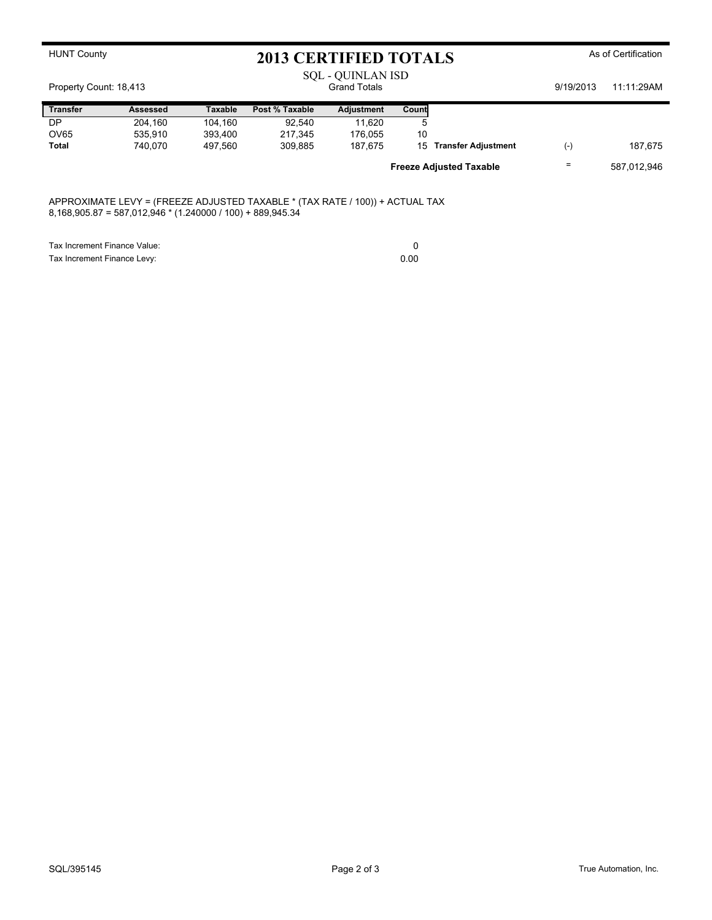|                        | <b>HUNT County</b><br>2013 CERTIFIED TOTALS                                                                                                  |         |                | As of Certification                      |       |                                |           |             |
|------------------------|----------------------------------------------------------------------------------------------------------------------------------------------|---------|----------------|------------------------------------------|-------|--------------------------------|-----------|-------------|
| Property Count: 18,413 |                                                                                                                                              |         |                | SQL - QUINLAN ISD<br><b>Grand Totals</b> |       |                                | 9/19/2013 | 11:11:29AM  |
| <b>Transfer</b>        | <b>Assessed</b>                                                                                                                              | Taxable | Post % Taxable | Adjustment                               | Count |                                |           |             |
| DP                     | 204,160                                                                                                                                      | 104,160 | 92,540         | 11,620                                   | 5     |                                |           |             |
| OV65                   | 535,910                                                                                                                                      | 393,400 | 217,345        | 176,055                                  | 10    |                                |           |             |
| Total                  | 740,070                                                                                                                                      | 497.560 | 309,885        | 187,675                                  | 15    | <b>Transfer Adjustment</b>     | $(-)$     | 187,675     |
|                        |                                                                                                                                              |         |                |                                          |       | <b>Freeze Adjusted Taxable</b> |           | 587,012,946 |
|                        | APPROXIMATE LEVY = (FREEZE ADJUSTED TAXABLE * (TAX RATE / 100)) + ACTUAL TAX<br>$8,168,905.87 = 587,012,946 * (1.240000 / 100) + 889,945.34$ |         |                |                                          |       |                                |           |             |
|                        | Tax Increment Finance Value:                                                                                                                 |         |                |                                          | 0     |                                |           |             |
|                        | Tax Increment Finance Levy:                                                                                                                  |         |                |                                          | 0.00  |                                |           |             |